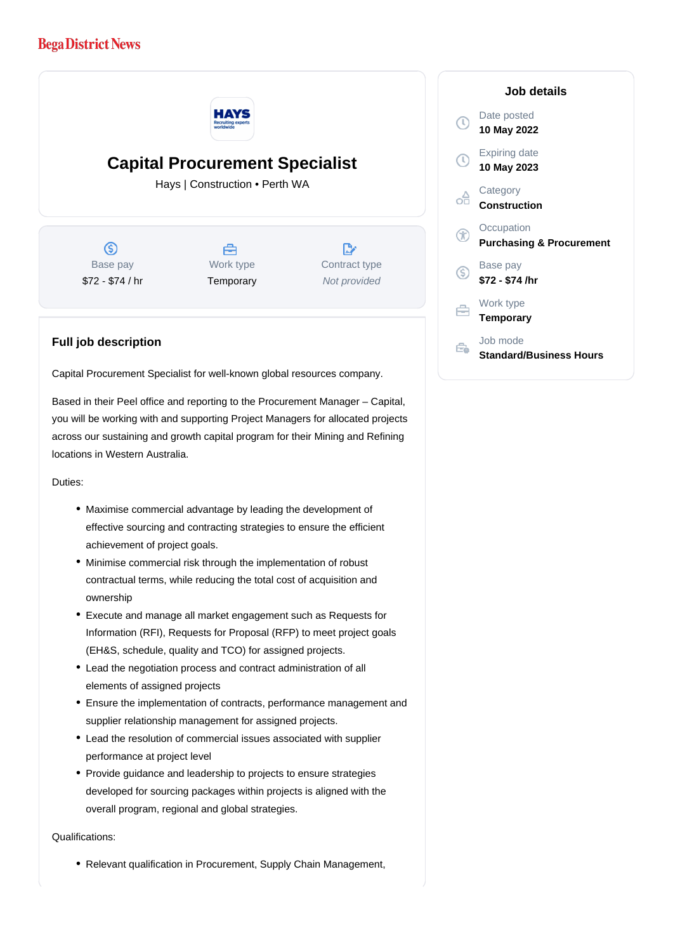## **Bega District News**



# **Capital Procurement Specialist**

Hays | Construction • Perth WA

 $\circ$ Base pay \$72 - \$74 / hr



 $\mathbb{R}$ Contract type Not provided

### **Full job description**

Capital Procurement Specialist for well-known global resources company.

Based in their Peel office and reporting to the Procurement Manager – Capital, you will be working with and supporting Project Managers for allocated projects across our sustaining and growth capital program for their Mining and Refining locations in Western Australia.

#### Duties:

- Maximise commercial advantage by leading the development of effective sourcing and contracting strategies to ensure the efficient achievement of project goals.
- Minimise commercial risk through the implementation of robust contractual terms, while reducing the total cost of acquisition and ownership
- Execute and manage all market engagement such as Requests for Information (RFI), Requests for Proposal (RFP) to meet project goals (EH&S, schedule, quality and TCO) for assigned projects.
- Lead the negotiation process and contract administration of all elements of assigned projects
- Ensure the implementation of contracts, performance management and supplier relationship management for assigned projects.
- Lead the resolution of commercial issues associated with supplier performance at project level
- Provide guidance and leadership to projects to ensure strategies developed for sourcing packages within projects is aligned with the overall program, regional and global strategies.

#### Qualifications:

Relevant qualification in Procurement, Supply Chain Management,

## **Job details** Date posted Œ **10 May 2022** Expiring date **10 May 2023 Category** റ്റി **Construction Occupation Purchasing & Procurement** Base pay **\$72 - \$74 /hr** Work type **Temporary** Job mode Ê. **Standard/Business Hours**